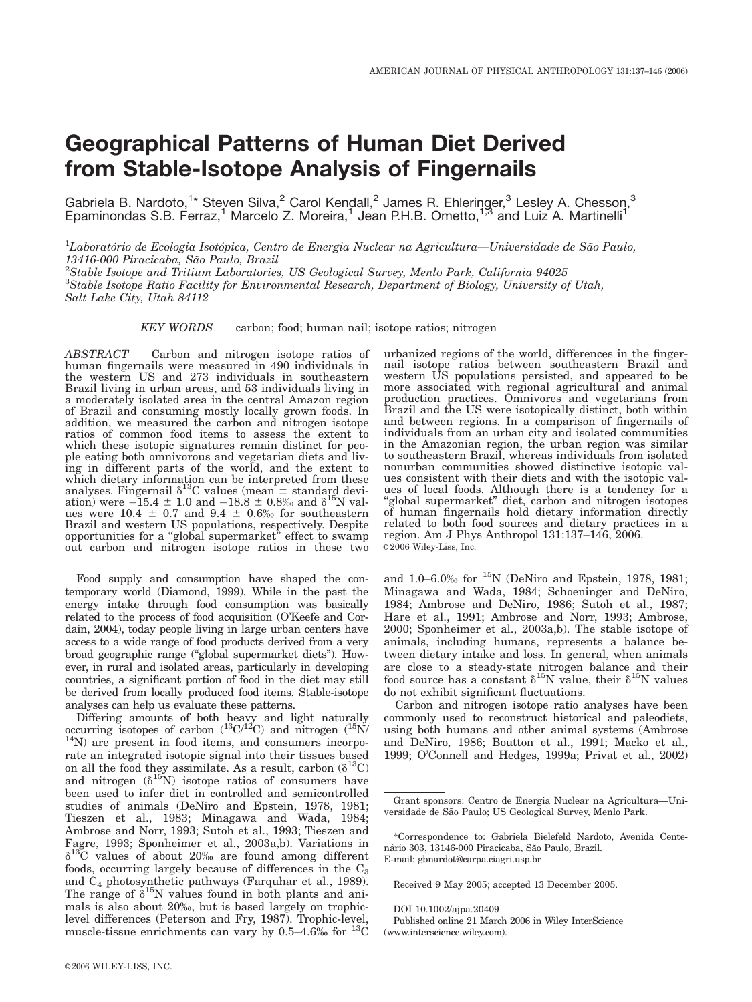# Geographical Patterns of Human Diet Derived from Stable-Isotope Analysis of Fingernails

Gabriela B. Nardoto,<sup>1</sup>\* Steven Silva,<sup>2</sup> Carol Kendall,<sup>2</sup> James R. Ehleringer,<sup>3</sup> Lesley A. Chesson,<sup>3</sup> Epaminondas S.B. Ferraz,<sup>1</sup> Marcelo Z. Moreira,<sup>1</sup> Jean P.H.B. Ometto,<sup>1,3</sup> and Luiz A. Martinelli<sup>1</sup>

 $1$ Laboratório de Ecologia Isotópica, Centro de Energia Nuclear na Agricultura—Universidade de São Paulo, 13416-000 Piracicaba, São Paulo, Brazil<br><sup>2</sup>Stable Isotope and Tritium Laboratories, US Geological Survey, Menlo Park, California 94025

 ${}^{3}$ Stable Isotope Ratio Facility for Environmental Research, Department of Biology, University of Utah, Salt Lake City, Utah 84112

KEY WORDS carbon; food; human nail; isotope ratios; nitrogen

ABSTRACT Carbon and nitrogen isotope ratios of human fingernails were measured in 490 individuals in the western US and 273 individuals in southeastern Brazil living in urban areas, and 53 individuals living in a moderately isolated area in the central Amazon region of Brazil and consuming mostly locally grown foods. In addition, we measured the carbon and nitrogen isotope ratios of common food items to assess the extent to which these isotopic signatures remain distinct for people eating both omnivorous and vegetarian diets and living in different parts of the world, and the extent to which dietary information can be interpreted from these analyses. Fingernail  $\delta^{13}C$  values (mean  $\pm$  standard deviation) were  $-15.4 \pm 1.0$  and  $-18.8 \pm 0.8$ % and  $\delta^{15}$ N values were 10.4  $\pm$  0.7 and 9.4  $\pm$  0.6% for southeastern Brazil and western US populations, respectively. Despite opportunities for a ''global supermarket'' effect to swamp out carbon and nitrogen isotope ratios in these two

Food supply and consumption have shaped the contemporary world (Diamond, 1999). While in the past the energy intake through food consumption was basically related to the process of food acquisition (O'Keefe and Cordain, 2004), today people living in large urban centers have access to a wide range of food products derived from a very broad geographic range ("global supermarket diets"). However, in rural and isolated areas, particularly in developing countries, a significant portion of food in the diet may still be derived from locally produced food items. Stable-isotope analyses can help us evaluate these patterns.

Differing amounts of both heavy and light naturally occurring isotopes of carbon  $(^{13}C/^{12}C)$  and nitrogen  $(^{15}N/^{14}N)$  are present in food items, and consumers incorporate an integrated isotopic signal into their tissues based on all the food they assimilate. As a result, carbon  $(\delta^{13}C)$ and nitrogen  $(\delta^{15}N)$  isotope ratios of consumers have been used to infer diet in controlled and semicontrolled studies of animals (DeNiro and Epstein, 1978, 1981; Tieszen et al., 1983; Minagawa and Wada, 1984; Ambrose and Norr, 1993; Sutoh et al., 1993; Tieszen and Fagre, 1993; Sponheimer et al., 2003a,b). Variations in  $\delta^{13}$ C values of about 20‰ are found among different foods, occurring largely because of differences in the  $C_3$ and C4 photosynthetic pathways (Farquhar et al., 1989). The range of  $\delta^{15}N$  values found in both plants and animals is also about 20%, but is based largely on trophiclevel differences (Peterson and Fry, 1987). Trophic-level, muscle-tissue enrichments can vary by  $0.5-4.6\%$  for  ${}^{13}C$ 

urbanized regions of the world, differences in the fingernail isotope ratios between southeastern Brazil and western US populations persisted, and appeared to be more associated with regional agricultural and animal production practices. Omnivores and vegetarians from Brazil and the US were isotopically distinct, both within and between regions. In a comparison of fingernails of individuals from an urban city and isolated communities in the Amazonian region, the urban region was similar to southeastern Brazil, whereas individuals from isolated nonurban communities showed distinctive isotopic values consistent with their diets and with the isotopic values of local foods. Although there is a tendency for a ''global supermarket'' diet, carbon and nitrogen isotopes of human fingernails hold dietary information directly related to both food sources and dietary practices in a region. Am J Phys Anthropol 131:137–146, 2006. © 2006 Wiley-Liss, Inc.

and 1.0–6.0% for 15N (DeNiro and Epstein, 1978, 1981; Minagawa and Wada, 1984; Schoeninger and DeNiro, 1984; Ambrose and DeNiro, 1986; Sutoh et al., 1987; Hare et al., 1991; Ambrose and Norr, 1993; Ambrose, 2000; Sponheimer et al., 2003a,b). The stable isotope of animals, including humans, represents a balance between dietary intake and loss. In general, when animals are close to a steady-state nitrogen balance and their food source has a constant  $\delta^{15}N$  value, their  $\delta^{15}N$  values do not exhibit significant fluctuations.

Carbon and nitrogen isotope ratio analyses have been commonly used to reconstruct historical and paleodiets, using both humans and other animal systems (Ambrose and DeNiro, 1986; Boutton et al., 1991; Macko et al., 1999; O'Connell and Hedges, 1999a; Privat et al., 2002)

Received 9 May 2005; accepted 13 December 2005.

DOI 10.1002/ajpa.20409

Published online 21 March 2006 in Wiley InterScience (www.interscience.wiley.com).

Grant sponsors: Centro de Energia Nuclear na Agricultura—Universidade de São Paulo; US Geological Survey, Menlo Park.

<sup>\*</sup>Correspondence to: Gabriela Bielefeld Nardoto, Avenida Centenário 303, 13146-000 Piracicaba, São Paulo, Brazil. E-mail: gbnardot@carpa.ciagri.usp.br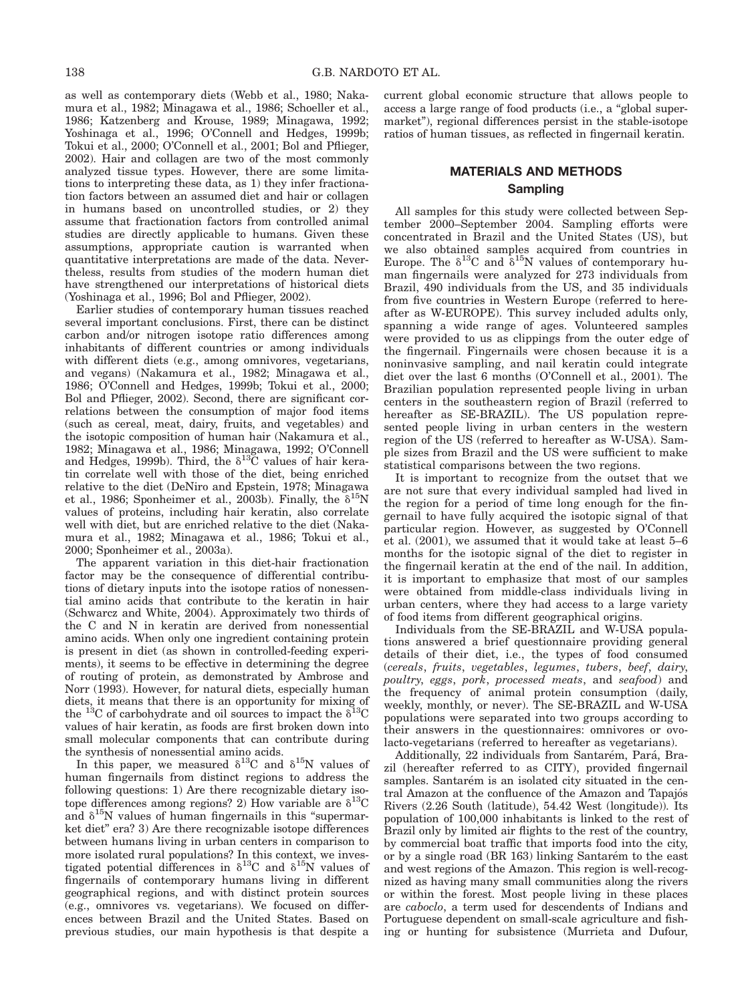as well as contemporary diets (Webb et al., 1980; Nakamura et al., 1982; Minagawa et al., 1986; Schoeller et al., 1986; Katzenberg and Krouse, 1989; Minagawa, 1992; Yoshinaga et al., 1996; O'Connell and Hedges, 1999b; Tokui et al., 2000; O'Connell et al., 2001; Bol and Pflieger, 2002). Hair and collagen are two of the most commonly analyzed tissue types. However, there are some limitations to interpreting these data, as 1) they infer fractionation factors between an assumed diet and hair or collagen in humans based on uncontrolled studies, or 2) they assume that fractionation factors from controlled animal studies are directly applicable to humans. Given these assumptions, appropriate caution is warranted when quantitative interpretations are made of the data. Nevertheless, results from studies of the modern human diet have strengthened our interpretations of historical diets (Yoshinaga et al., 1996; Bol and Pflieger, 2002).

Earlier studies of contemporary human tissues reached several important conclusions. First, there can be distinct carbon and/or nitrogen isotope ratio differences among inhabitants of different countries or among individuals with different diets (e.g., among omnivores, vegetarians, and vegans) (Nakamura et al., 1982; Minagawa et al., 1986; O'Connell and Hedges, 1999b; Tokui et al., 2000; Bol and Pflieger, 2002). Second, there are significant correlations between the consumption of major food items (such as cereal, meat, dairy, fruits, and vegetables) and the isotopic composition of human hair (Nakamura et al., 1982; Minagawa et al., 1986; Minagawa, 1992; O'Connell<br>and Hedges, 1999b). Third, the  $\delta^{13}C$  values of hair keratin correlate well with those of the diet, being enriched relative to the diet (DeNiro and Epstein, 1978; Minagawa et al., 1986; Sponheimer et al., 2003b). Finally, the  $\delta^{15}N$ values of proteins, including hair keratin, also correlate well with diet, but are enriched relative to the diet (Nakamura et al., 1982; Minagawa et al., 1986; Tokui et al., 2000; Sponheimer et al., 2003a).

The apparent variation in this diet-hair fractionation factor may be the consequence of differential contributions of dietary inputs into the isotope ratios of nonessential amino acids that contribute to the keratin in hair (Schwarcz and White, 2004). Approximately two thirds of the C and N in keratin are derived from nonessential amino acids. When only one ingredient containing protein is present in diet (as shown in controlled-feeding experiments), it seems to be effective in determining the degree of routing of protein, as demonstrated by Ambrose and Norr (1993). However, for natural diets, especially human diets, it means that there is an opportunity for mixing of the  $^{13}$ C of carbohydrate and oil sources to impact the  $\delta^{13}$ C values of hair keratin, as foods are first broken down into small molecular components that can contribute during the synthesis of nonessential amino acids.

In this paper, we measured  $\delta^{13}$ C and  $\delta^{15}$ N values of human fingernails from distinct regions to address the following questions: 1) Are there recognizable dietary isotope differences among regions? 2) How variable are  $\delta^{13}$ C and  $\delta^{15}N$  values of human fingernails in this "supermarket diet" era? 3) Are there recognizable isotope differences between humans living in urban centers in comparison to more isolated rural populations? In this context, we investigated potential differences in  $\delta^{13}$ C and  $\delta^{15}$ N values of fingernails of contemporary humans living in different geographical regions, and with distinct protein sources (e.g., omnivores vs. vegetarians). We focused on differences between Brazil and the United States. Based on previous studies, our main hypothesis is that despite a

current global economic structure that allows people to access a large range of food products (i.e., a ''global supermarket''), regional differences persist in the stable-isotope ratios of human tissues, as reflected in fingernail keratin.

# MATERIALS AND METHODS Sampling

All samples for this study were collected between September 2000–September 2004. Sampling efforts were concentrated in Brazil and the United States (US), but we also obtained samples acquired from countries in Europe. The  $\delta^{13}$ C and  $\delta^{15}$ N values of contemporary human fingernails were analyzed for 273 individuals from Brazil, 490 individuals from the US, and 35 individuals from five countries in Western Europe (referred to hereafter as W-EUROPE). This survey included adults only, spanning a wide range of ages. Volunteered samples were provided to us as clippings from the outer edge of the fingernail. Fingernails were chosen because it is a noninvasive sampling, and nail keratin could integrate diet over the last 6 months (O'Connell et al., 2001). The Brazilian population represented people living in urban centers in the southeastern region of Brazil (referred to hereafter as SE-BRAZIL). The US population represented people living in urban centers in the western region of the US (referred to hereafter as W-USA). Sample sizes from Brazil and the US were sufficient to make statistical comparisons between the two regions.

It is important to recognize from the outset that we are not sure that every individual sampled had lived in the region for a period of time long enough for the fingernail to have fully acquired the isotopic signal of that particular region. However, as suggested by O'Connell et al. (2001), we assumed that it would take at least 5–6 months for the isotopic signal of the diet to register in the fingernail keratin at the end of the nail. In addition, it is important to emphasize that most of our samples were obtained from middle-class individuals living in urban centers, where they had access to a large variety of food items from different geographical origins.

Individuals from the SE-BRAZIL and W-USA populations answered a brief questionnaire providing general details of their diet, i.e., the types of food consumed (cereals, fruits, vegetables, legumes, tubers, beef, dairy, poultry, eggs, pork, processed meats, and seafood) and the frequency of animal protein consumption (daily, weekly, monthly, or never). The SE-BRAZIL and W-USA populations were separated into two groups according to their answers in the questionnaires: omnivores or ovolacto-vegetarians (referred to hereafter as vegetarians).

Additionally, 22 individuals from Santarém, Pará, Brazil (hereafter referred to as CITY), provided fingernail samples. Santarém is an isolated city situated in the central Amazon at the confluence of the Amazon and Tapajós Rivers (2.26 South (latitude), 54.42 West (longitude)). Its population of 100,000 inhabitants is linked to the rest of Brazil only by limited air flights to the rest of the country, by commercial boat traffic that imports food into the city, or by a single road  $(BR 163)$  linking Santarém to the east and west regions of the Amazon. This region is well-recognized as having many small communities along the rivers or within the forest. Most people living in these places are caboclo, a term used for descendents of Indians and Portuguese dependent on small-scale agriculture and fishing or hunting for subsistence (Murrieta and Dufour,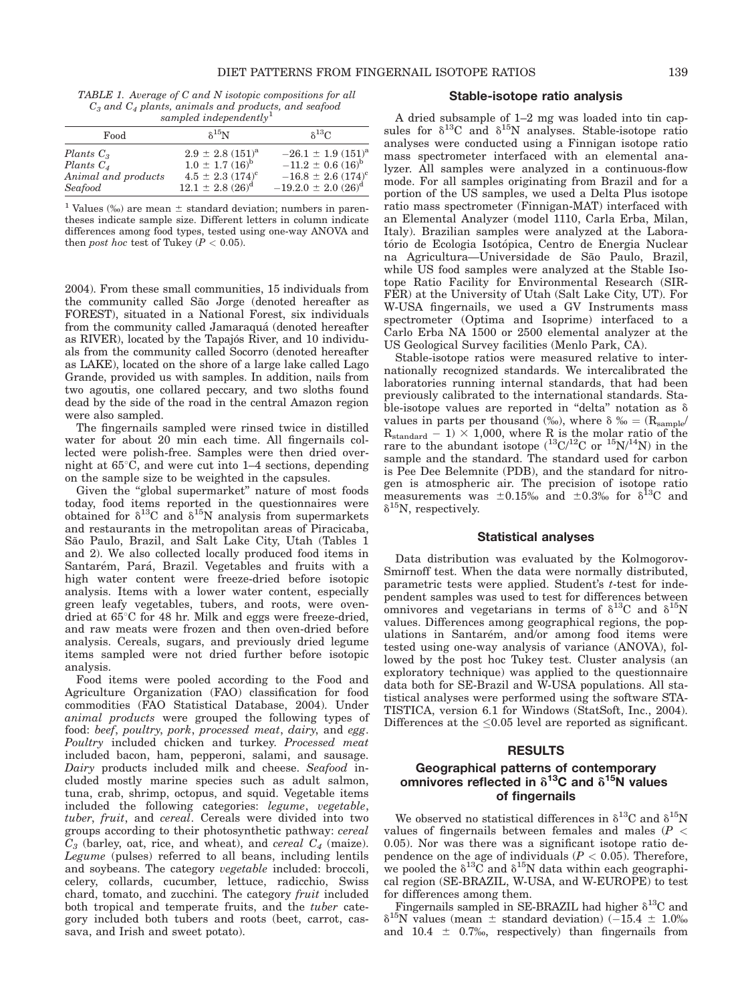TABLE 1. Average of C and N isotopic compositions for all  $C_3$  and  $C_4$  plants, animals and products, and seafood sampled independently<sup>1</sup>

| Food                                                           | $\delta^{15}$ N                                                                                 | $\delta^{13}C$                                                                                                        |
|----------------------------------------------------------------|-------------------------------------------------------------------------------------------------|-----------------------------------------------------------------------------------------------------------------------|
| Plants $C_3$<br>Plants $C_4$<br>Animal and products<br>Seafood | $2.9 \pm 2.8~(151)^a$<br>$1.0 \pm 1.7~(16)^b$<br>$4.5 \pm 2.3~(174)^c$<br>$12.1 \pm 2.8~(26)^d$ | $-26.1 \pm 1.9 \,(151)^a$<br>$-11.2 \pm 0.6$ (16) <sup>b</sup><br>$-16.8 \pm 2.6 (174)^c$<br>$-19.2.0 \pm 2.0 (26)^d$ |

 $^1$  Values (%) are mean  $\pm$  standard deviation; numbers in parentheses indicate sample size. Different letters in column indicate differences among food types, tested using one-way ANOVA and then *post hoc* test of Tukey ( $P < 0.05$ ).

2004). From these small communities, 15 individuals from the community called São Jorge (denoted hereafter as FOREST), situated in a National Forest, six individuals from the community called Jamaraquá (denoted hereafter as RIVER), located by the Tapajós River, and 10 individuals from the community called Socorro (denoted hereafter as LAKE), located on the shore of a large lake called Lago Grande, provided us with samples. In addition, nails from two agoutis, one collared peccary, and two sloths found dead by the side of the road in the central Amazon region were also sampled.

The fingernails sampled were rinsed twice in distilled water for about 20 min each time. All fingernails collected were polish-free. Samples were then dried overnight at  $65^{\circ}$ C, and were cut into 1–4 sections, depending on the sample size to be weighted in the capsules.

Given the "global supermarket" nature of most foods today, food items reported in the questionnaires were obtained for  $\delta^{13}$ C and  $\delta^{15}$ N analysis from supermarkets and restaurants in the metropolitan areas of Piracicaba, São Paulo, Brazil, and Salt Lake City, Utah (Tables 1) and 2). We also collected locally produced food items in Santarém, Pará, Brazil. Vegetables and fruits with a high water content were freeze-dried before isotopic analysis. Items with a lower water content, especially green leafy vegetables, tubers, and roots, were ovendried at  $65^{\circ}$ C for 48 hr. Milk and eggs were freeze-dried, and raw meats were frozen and then oven-dried before analysis. Cereals, sugars, and previously dried legume items sampled were not dried further before isotopic analysis.

Food items were pooled according to the Food and Agriculture Organization (FAO) classification for food commodities (FAO Statistical Database, 2004). Under animal products were grouped the following types of food: beef, poultry, pork, processed meat, dairy, and egg. Poultry included chicken and turkey. Processed meat included bacon, ham, pepperoni, salami, and sausage. Dairy products included milk and cheese. Seafood included mostly marine species such as adult salmon, tuna, crab, shrimp, octopus, and squid. Vegetable items included the following categories: legume, vegetable, tuber, fruit, and cereal. Cereals were divided into two groups according to their photosynthetic pathway: cereal  $C_3$  (barley, oat, rice, and wheat), and *cereal*  $C_4$  (maize). Legume (pulses) referred to all beans, including lentils and soybeans. The category vegetable included: broccoli, celery, collards, cucumber, lettuce, radicchio, Swiss chard, tomato, and zucchini. The category *fruit* included both tropical and temperate fruits, and the *tuber* category included both tubers and roots (beet, carrot, cassava, and Irish and sweet potato).

#### Stable-isotope ratio analysis

A dried subsample of 1–2 mg was loaded into tin capsules for  $\delta^{13}$ C and  $\delta^{15}$ N analyses. Stable-isotope ratio analyses were conducted using a Finnigan isotope ratio mass spectrometer interfaced with an elemental analyzer. All samples were analyzed in a continuous-flow mode. For all samples originating from Brazil and for a portion of the US samples, we used a Delta Plus isotope ratio mass spectrometer (Finnigan-MAT) interfaced with an Elemental Analyzer (model 1110, Carla Erba, Milan, Italy). Brazilian samples were analyzed at the Laboratório de Ecologia Isotópica, Centro de Energia Nuclear na Agricultura—Universidade de São Paulo, Brazil, while US food samples were analyzed at the Stable Isotope Ratio Facility for Environmental Research (SIR-FER) at the University of Utah (Salt Lake City, UT). For W-USA fingernails, we used a GV Instruments mass spectrometer (Optima and Isoprime) interfaced to a Carlo Erba NA 1500 or 2500 elemental analyzer at the US Geological Survey facilities (Menlo Park, CA).

Stable-isotope ratios were measured relative to internationally recognized standards. We intercalibrated the laboratories running internal standards, that had been previously calibrated to the international standards. Stable-isotope values are reported in ''delta'' notation as d values in parts per thousand  $(\%$ <sub>0</sub>), where  $\delta$  % =  $(R_{\text{sample}}/$  $R_{standard} - 1$   $\times$  1,000, where R is the molar ratio of the rare to the abundant isotope  $(^{13}C/^{12}C$  or  $^{15}N/^{14}N$ ) in the sample and the standard. The standard used for carbon is Pee Dee Belemnite (PDB), and the standard for nitrogen is atmospheric air. The precision of isotope ratio measurements was  $\pm 0.15\%$  and  $\pm 0.3\%$  for  $\delta^{13}$ C and  $\delta^{15}N$ , respectively.

#### Statistical analyses

Data distribution was evaluated by the Kolmogorov-Smirnoff test. When the data were normally distributed, parametric tests were applied. Student's t-test for independent samples was used to test for differences between omnivores and vegetarians in terms of  $\delta^{13}C$  and  $\delta^{15}N$ values. Differences among geographical regions, the populations in Santarém, and/or among food items were tested using one-way analysis of variance (ANOVA), followed by the post hoc Tukey test. Cluster analysis (an exploratory technique) was applied to the questionnaire data both for SE-Brazil and W-USA populations. All statistical analyses were performed using the software STA-TISTICA, version 6.1 for Windows (StatSoft, Inc., 2004). Differences at the  $\leq 0.05$  level are reported as significant.

#### RESULTS

#### Geographical patterns of contemporary omnivores reflected in  $\delta^{13}$ C and  $\delta^{15}$ N values of fingernails

We observed no statistical differences in  $\delta^{13}C$  and  $\delta^{15}N$ values of fingernails between females and males  $(P \leq$ 0.05). Nor was there was a significant isotope ratio dependence on the age of individuals ( $P < 0.05$ ). Therefore, we pooled the  $\delta^{13}C$  and  $\delta^{15}N$  data within each geographical region (SE-BRAZIL, W-USA, and W-EUROPE) to test for differences among them.

Fingernails sampled in SE-BRAZIL had higher  $\delta^{13}C$  and  $\delta^{15}$ N values (mean  $\pm$  standard deviation) (-15.4  $\pm$  1.0% and  $10.4 \pm 0.7\%$ , respectively) than fingernails from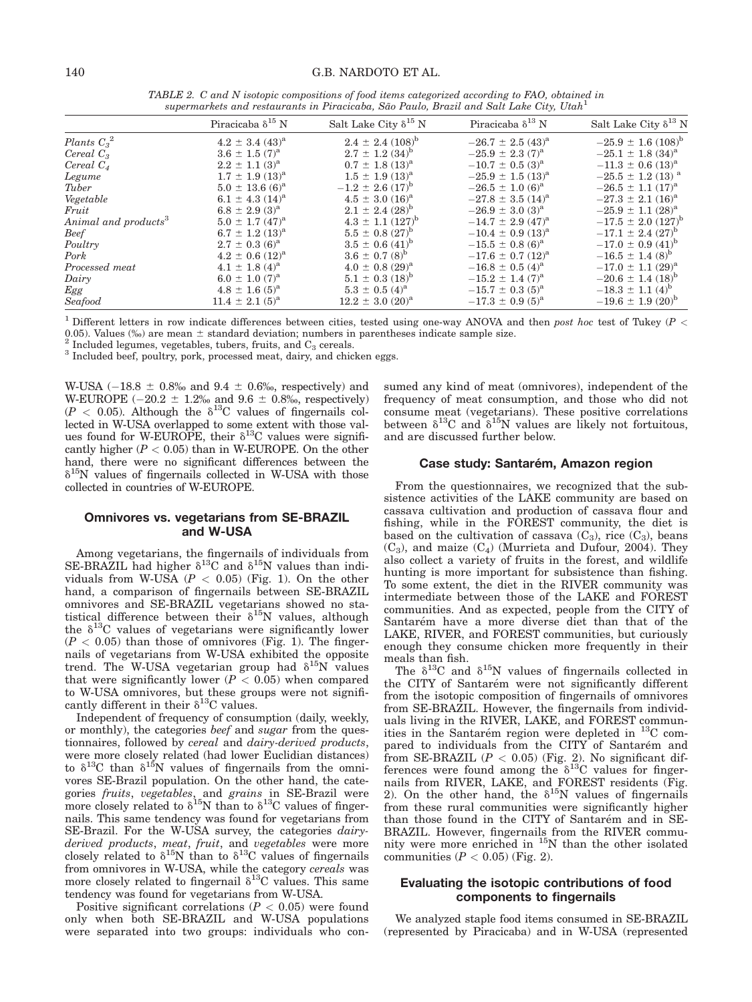|                                  | Piracicaba $\delta^{15}$ N      | Salt Lake City $\delta^{15}$ N   | Piracicaba $\delta^{13}$ N        | Salt Lake City $\delta^{13}$ N     |
|----------------------------------|---------------------------------|----------------------------------|-----------------------------------|------------------------------------|
| Plants $C_3^2$                   | $4.2 \pm 3.4$ (43) <sup>a</sup> | $2.4 \pm 2.4~(108)^{b}$          | $-26.7 \pm 2.5 \,(43)^a$          | $-25.9 \pm 1.6~(108)^b$            |
| Cereal $C_3$                     | $3.6 \pm 1.5$ (7) <sup>a</sup>  | $2.7 \pm 1.2$ (34) <sup>b</sup>  | $-25.9 \pm 2.3$ (7) <sup>a</sup>  | $-25.1 \pm 1.8$ (34) <sup>a</sup>  |
| Cereal $C_4$                     | $2.2 \pm 1.1$ (3) <sup>a</sup>  | $0.7 \pm 1.8$ (13) <sup>a</sup>  | $-10.7 \pm 0.5$ (3) <sup>a</sup>  | $-11.3 \pm 0.6$ (13) <sup>a</sup>  |
| Legume                           | $1.7 \pm 1.9$ $(13)^a$          | $1.5 \pm 1.9$ $(13)^a$           | $-25.9 \pm 1.5$ (13) <sup>a</sup> | $-25.5 \pm 1.2$ (13) <sup>a</sup>  |
| Tuber                            | $5.0 \pm 13.6$ (6) <sup>a</sup> | $-1.2 \pm 2.6$ (17) <sup>b</sup> | $-26.5 \pm 1.0$ (6) <sup>a</sup>  | $-26.5 \pm 1.1$ (17) <sup>a</sup>  |
| Vegetable                        | $6.1 \pm 4.3$ $(14)^a$          | $4.5 \pm 3.0$ (16) <sup>a</sup>  | $-27.8 \pm 3.5 \ (14)^a$          | $-27.3 \pm 2.1$ (16) <sup>a</sup>  |
| Fruit                            | $6.8 \pm 2.9$ (3) <sup>a</sup>  | $2.1 \pm 2.4$ (28) <sup>b</sup>  | $-26.9 \pm 3.0$ (3) <sup>a</sup>  | $-25.9 \pm 1.1$ (28) <sup>a</sup>  |
| Animal and products <sup>3</sup> | $5.0 \pm 1.7$ (47) <sup>a</sup> | $4.3 \pm 1.1$ $(127)^{6}$        | $-14.7 \pm 2.9$ (47) <sup>a</sup> | $-17.5 \pm 2.0$ (127) <sup>b</sup> |
| <b>Beef</b>                      | $6.7 \pm 1.2$ $(13)^a$          | $5.5 \pm 0.8~(27)^b$             | $-10.4 \pm 0.9$ (13) <sup>a</sup> | $-17.1 \pm 2.4~(27)^{b}$           |
| Poultry                          | $2.7 \pm 0.3$ (6) <sup>a</sup>  | $3.5 \pm 0.6$ (41) <sup>b</sup>  | $-15.5 \pm 0.8$ (6) <sup>a</sup>  | $-17.0 \pm 0.9$ (41) <sup>b</sup>  |
| Pork                             | $4.2 \pm 0.6$ $(12)^a$          | $3.6 \pm 0.7$ (8) <sup>b</sup>   | $-17.6 \pm 0.7$ (12) <sup>a</sup> | $-16.5 \pm 1.4$ (8) <sup>b</sup>   |
| Processed meat                   | $4.1 \pm 1.8$ (4) <sup>a</sup>  | $4.0 \pm 0.8$ (29) <sup>a</sup>  | $-16.8 \pm 0.5$ (4) <sup>a</sup>  | $-17.0 \pm 1.1$ (29) <sup>a</sup>  |
| Dairy                            | $6.0 \pm 1.0$ (7) <sup>a</sup>  | $5.1 \pm 0.3$ $(18)^{6}$         | $-15.2 \pm 1.4$ (7) <sup>a</sup>  | $-20.6 \pm 1.4$ (18) <sup>b</sup>  |
| Egg                              | $4.8 \pm 1.6$ (5) <sup>a</sup>  | $5.3 \pm 0.5$ (4) <sup>a</sup>   | $-15.7 \pm 0.3$ (5) <sup>a</sup>  | $-18.3 \pm 1.1$ (4) <sup>b</sup>   |
| Seafood                          | $11.4 \pm 2.1$ (5) <sup>a</sup> | $12.2 \pm 3.0 \ (20)^a$          | $-17.3 \pm 0.9$ (5) <sup>a</sup>  | $-19.6 \pm 1.9$ (20) <sup>b</sup>  |

TABLE 2. C and N isotopic compositions of food items categorized according to FAO, obtained in supermarkets and restaurants in Piracicaba, São Paulo, Brazil and Salt Lake City, Utah

<sup>1</sup> Different letters in row indicate differences between cities, tested using one-way ANOVA and then post hoc test of Tukey ( $P$  < 0.05). Values  $(\%$  are mean  $\pm$  standard deviation; numbers in parentheses indicate sample size.  $^2$  Included legumes, vegetables, tubers, fruits, and C<sub>3</sub> cereals.  $^3$  Included beef, poultry, pork, processed meat, dai

W-USA  $(-18.8 \pm 0.8\%$  and  $9.4 \pm 0.6\%$ , respectively) and W-EUROPE  $(-20.2 \pm 1.2\%$  and  $9.6 \pm 0.8\%$ , respectively)  $(P < 0.05)$ . Although the  $\delta^{13}$ C values of fingernails collected in W-USA overlapped to some extent with those values found for W-EUROPE, their  $\delta^{13}$ C values were significantly higher  $(P < 0.05)$  than in W-EUROPE. On the other hand, there were no significant differences between the  $\delta^{15}$ N values of fingernails collected in W-USA with those collected in countries of W-EUROPE.

# Omnivores vs. vegetarians from SE-BRAZIL and W-USA

Among vegetarians, the fingernails of individuals from SE-BRAZIL had higher  $\delta^{13}$ C and  $\delta^{15}$ N values than individuals from W-USA  $(P < 0.05)$  (Fig. 1). On the other hand, a comparison of fingernails between SE-BRAZIL omnivores and SE-BRAZIL vegetarians showed no statistical difference between their  $\delta^{15}N$  values, although the  $\delta^{13}$ C values of vegetarians were significantly lower  $(P < 0.05)$  than those of omnivores (Fig. 1). The fingernails of vegetarians from W-USA exhibited the opposite trend. The W-USA vegetarian group had  $\delta^{15}N$  values that were significantly lower ( $P < 0.05$ ) when compared to W-USA omnivores, but these groups were not significantly different in their  $\delta^{13}$ C values.

Independent of frequency of consumption (daily, weekly, or monthly), the categories *beef* and *sugar* from the questionnaires, followed by cereal and dairy-derived products, were more closely related (had lower Euclidian distances) to  $\delta^{13}C$  than  $\delta^{15}N$  values of fingernails from the omnivores SE-Brazil population. On the other hand, the categories *fruits, vegetables,* and *grains* in SE-Brazil were more closely related to  $\delta^{15}N$  than to  $\delta^{13}C$  values of fingernails. This same tendency was found for vegetarians from SE-Brazil. For the W-USA survey, the categories dairyderived products, meat, fruit, and vegetables were more closely related to  $\delta^{15}N$  than to  $\delta^{13}C$  values of fingernails from omnivores in W-USA, while the category cereals was more closely related to fingernail  $\delta^{13}$ C values. This same tendency was found for vegetarians from W-USA.

Positive significant correlations ( $P < 0.05$ ) were found only when both SE-BRAZIL and W-USA populations were separated into two groups: individuals who consumed any kind of meat (omnivores), independent of the frequency of meat consumption, and those who did not consume meat (vegetarians). These positive correlations between  $\delta^{13}$ C and  $\delta^{15}$ N values are likely not fortuitous, and are discussed further below.

#### Case study: Santarém, Amazon region

From the questionnaires, we recognized that the subsistence activities of the LAKE community are based on cassava cultivation and production of cassava flour and fishing, while in the FOREST community, the diet is based on the cultivation of cassava  $(C_3)$ , rice  $(C_3)$ , beans  $(C_3)$ , and maize  $(C_4)$  (Murrieta and Dufour, 2004). They also collect a variety of fruits in the forest, and wildlife hunting is more important for subsistence than fishing. To some extent, the diet in the RIVER community was intermediate between those of the LAKE and FOREST communities. And as expected, people from the CITY of Santarém have a more diverse diet than that of the LAKE, RIVER, and FOREST communities, but curiously enough they consume chicken more frequently in their meals than fish.

The  $\delta^{13}$ C and  $\delta^{15}$ N values of fingernails collected in the CITY of Santarém were not significantly different from the isotopic composition of fingernails of omnivores from SE-BRAZIL. However, the fingernails from individuals living in the RIVER, LAKE, and FOREST communities in the Santarém region were depleted in  $^{13}$ C compared to individuals from the CITY of Santarém and from SE-BRAZIL ( $P < 0.05$ ) (Fig. 2). No significant differences were found among the  $\delta^{13}C$  values for fingernails from RIVER, LAKE, and FOREST residents (Fig. 2). On the other hand, the  $\delta^{15}N$  values of fingernails from these rural communities were significantly higher than those found in the CITY of Santarém and in SE-BRAZIL. However, fingernails from the RIVER community were more enriched in <sup>15</sup>N than the other isolated communities  $(P < 0.05)$  (Fig. 2).

# Evaluating the isotopic contributions of food components to fingernails

We analyzed staple food items consumed in SE-BRAZIL (represented by Piracicaba) and in W-USA (represented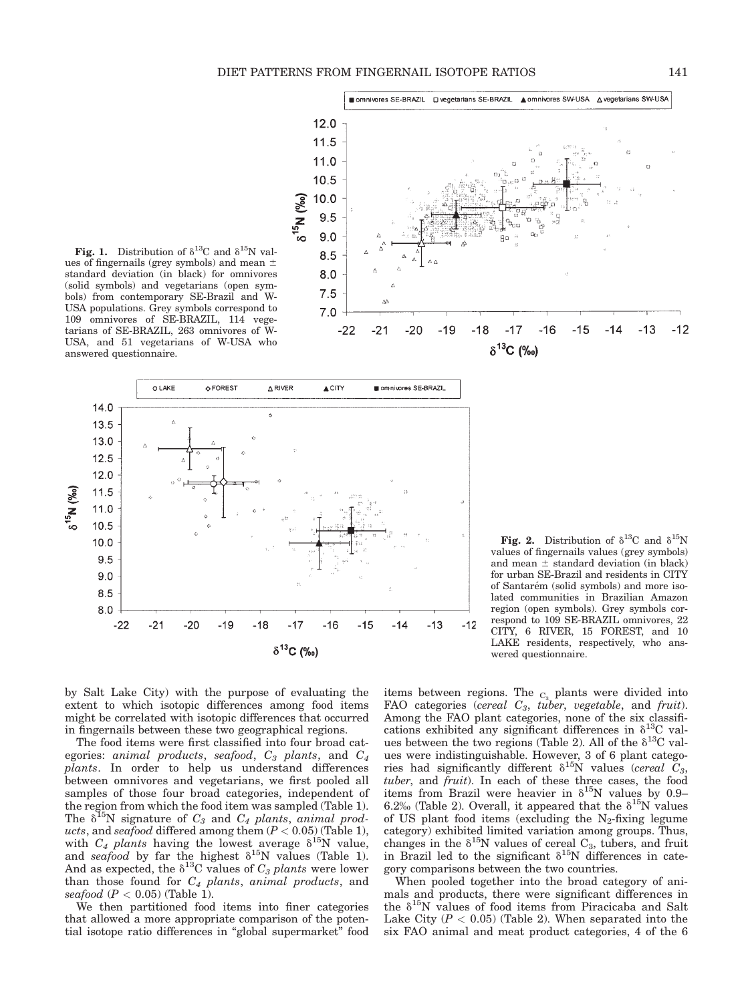

Fig. 1. Distribution of  $\delta^{13}C$  and  $\delta^{15}N$  values of fingernails (grey symbols) and mean  $\pm$ standard deviation (in black) for omnivores (solid symbols) and vegetarians (open symbols) from contemporary SE-Brazil and W-USA populations. Grey symbols correspond to 109 omnivores of SE-BRAZIL, 114 vegetarians of SE-BRAZIL, 263 omnivores of W-USA, and 51 vegetarians of W-USA who answered questionnaire.



**Fig. 2.** Distribution of  $\delta^{13}$ C and  $\delta^{15}$ N values of fingernails values (grey symbols) and mean  $\pm$  standard deviation (in black) for urban SE-Brazil and residents in CITY of Santarém (solid symbols) and more isolated communities in Brazilian Amazon region (open symbols). Grey symbols correspond to 109 SE-BRAZIL omnivores, 22 CITY, 6 RIVER, 15 FOREST, and 10 LAKE residents, respectively, who answered questionnaire.

by Salt Lake City) with the purpose of evaluating the extent to which isotopic differences among food items might be correlated with isotopic differences that occurred in fingernails between these two geographical regions.

The food items were first classified into four broad categories: animal products, seafood,  $C_3$  plants, and  $C_4$ plants. In order to help us understand differences between omnivores and vegetarians, we first pooled all samples of those four broad categories, independent of the region from which the food item was sampled (Table 1). The  $\delta^{15}N$  signature of  $C_3$  and  $C_4$  plants, animal products, and seafood differed among them  $(P < 0.05)$  (Table 1), with  $C_4$  plants having the lowest average  $\delta^{15}N$  value, and seafood by far the highest  $\delta^{15}N$  values (Table 1). And as expected, the  $\delta^{13}$ C values of  $C_3$  plants were lower than those found for  $C_4$  plants, animal products, and seafood  $(P < 0.05)$  (Table 1).

We then partitioned food items into finer categories that allowed a more appropriate comparison of the potential isotope ratio differences in ''global supermarket'' food items between regions. The  $C_{3}$  plants were divided into FAO categories (cereal  $C_3$ , tuber, vegetable, and fruit). Among the FAO plant categories, none of the six classifications exhibited any significant differences in  $\delta^{13}C$  values between the two regions (Table 2). All of the  $\delta^{13}C$  values were indistinguishable. However, 3 of 6 plant categories had significantly different  $\delta^{15}N$  values (cereal  $C_3$ , tuber, and fruit). In each of these three cases, the food items from Brazil were heavier in  $\delta^{15}N$  values by 0.9– 6.2% (Table 2). Overall, it appeared that the  $\delta^{15}N$  values of US plant food items (excluding the  $N_2$ -fixing legume category) exhibited limited variation among groups. Thus, changes in the  $\delta^{15}N$  values of cereal C<sub>3</sub>, tubers, and fruit in Brazil led to the significant  $\delta^{15}N$  differences in category comparisons between the two countries.

When pooled together into the broad category of animals and products, there were significant differences in the  $\delta^{15}N$  values of food items from Piracicaba and Salt Lake City  $(P < 0.05)$  (Table 2). When separated into the six FAO animal and meat product categories, 4 of the 6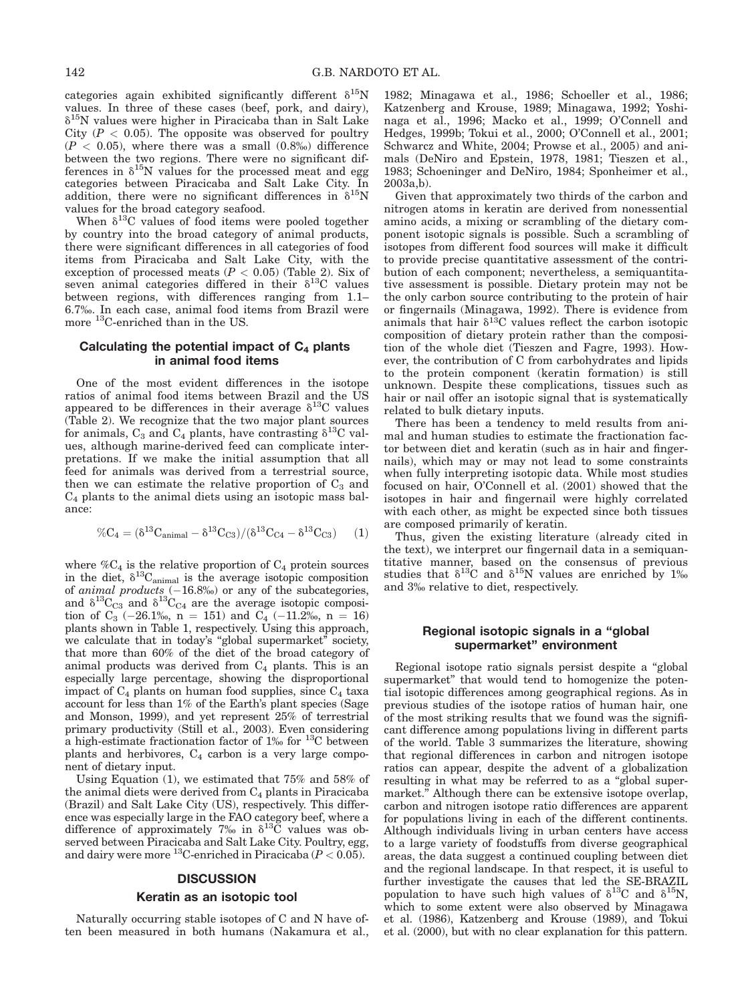categories again exhibited significantly different  $\delta^{15}\rm{N}$ values. In three of these cases (beef, pork, and dairy),  $\delta^{15}$ N values were higher in Piracicaba than in Salt Lake City ( $P < 0.05$ ). The opposite was observed for poultry  $(P < 0.05)$ , where there was a small  $(0.8\%)$  difference between the two regions. There were no significant differences in  $\delta^{15}N$  values for the processed meat and egg categories between Piracicaba and Salt Lake City. In addition, there were no significant differences in  $\delta^{15}N$ values for the broad category seafood.

When  $\delta^{13}$ C values of food items were pooled together by country into the broad category of animal products, there were significant differences in all categories of food items from Piracicaba and Salt Lake City, with the exception of processed meats  $(P < 0.05)$  (Table 2). Six of seven animal categories differed in their  $\delta^{13}C$  values between regions, with differences ranging from 1.1– 6.7%. In each case, animal food items from Brazil were more 13C-enriched than in the US.

### Calculating the potential impact of  $C_4$  plants in animal food items

One of the most evident differences in the isotope ratios of animal food items between Brazil and the US appeared to be differences in their average  $\delta^{13}$ C values (Table 2). We recognize that the two major plant sources for animals,  $C_3$  and  $C_4$  plants, have contrasting  $\delta^{13}C$  values, although marine-derived feed can complicate interpretations. If we make the initial assumption that all feed for animals was derived from a terrestrial source, then we can estimate the relative proportion of  $C_3$  and  $C_4$  plants to the animal diets using an isotopic mass balance:

$$
\%\mathrm{C}_4 = (\delta^{13}\mathrm{C}_{\mathrm{animal}} - \delta^{13}\mathrm{C}_{\mathrm{C3}})/(\delta^{13}\mathrm{C}_{\mathrm{C4}} - \delta^{13}\mathrm{C}_{\mathrm{C3}}) \quad \ \ (1)
$$

where  $\%C_4$  is the relative proportion of  $C_4$  protein sources in the diet,  $\delta^{13}C_{\text{animal}}$  is the average isotopic composition of animal products  $(-16.8\%)$  or any of the subcategories, and  $\delta^{13}C_{C3}$  and  $\delta^{13}C_{C4}$  are the average isotopic composition of  $C_3$  (-26.1‰, n = 151) and  $C_4$  (-11.2‰, n = 16) plants shown in Table 1, respectively. Using this approach, we calculate that in today's "global supermarket" society, that more than 60% of the diet of the broad category of animal products was derived from  $C_4$  plants. This is an especially large percentage, showing the disproportional impact of  $C_4$  plants on human food supplies, since  $C_4$  taxa account for less than 1% of the Earth's plant species (Sage and Monson, 1999), and yet represent 25% of terrestrial primary productivity (Still et al., 2003). Even considering<br>a high-estimate fractionation factor of 1‰ for <sup>13</sup>C between plants and herbivores,  $C_4$  carbon is a very large component of dietary input.

Using Equation (1), we estimated that 75% and 58% of the animal diets were derived from  $C_4$  plants in Piracicaba (Brazil) and Salt Lake City (US), respectively. This difference was especially large in the FAO category beef, where a difference of approximately 7% in  $\delta^{13}$ C values was observed between Piracicaba and Salt Lake City. Poultry, egg, and dairy were more  $^{13}$ C-enriched in Piracicaba ( $P < 0.05$ ).

# **DISCUSSION** Keratin as an isotopic tool

Naturally occurring stable isotopes of C and N have often been measured in both humans (Nakamura et al., 1982; Minagawa et al., 1986; Schoeller et al., 1986; Katzenberg and Krouse, 1989; Minagawa, 1992; Yoshinaga et al., 1996; Macko et al., 1999; O'Connell and Hedges, 1999b; Tokui et al., 2000; O'Connell et al., 2001; Schwarcz and White, 2004; Prowse et al., 2005) and animals (DeNiro and Epstein, 1978, 1981; Tieszen et al., 1983; Schoeninger and DeNiro, 1984; Sponheimer et al., 2003a,b).

Given that approximately two thirds of the carbon and nitrogen atoms in keratin are derived from nonessential amino acids, a mixing or scrambling of the dietary component isotopic signals is possible. Such a scrambling of isotopes from different food sources will make it difficult to provide precise quantitative assessment of the contribution of each component; nevertheless, a semiquantitative assessment is possible. Dietary protein may not be the only carbon source contributing to the protein of hair or fingernails (Minagawa, 1992). There is evidence from animals that hair  $\delta^{13}$ C values reflect the carbon isotopic composition of dietary protein rather than the composition of the whole diet (Tieszen and Fagre, 1993). However, the contribution of C from carbohydrates and lipids to the protein component (keratin formation) is still unknown. Despite these complications, tissues such as hair or nail offer an isotopic signal that is systematically related to bulk dietary inputs.

There has been a tendency to meld results from animal and human studies to estimate the fractionation factor between diet and keratin (such as in hair and fingernails), which may or may not lead to some constraints when fully interpreting isotopic data. While most studies focused on hair, O'Connell et al. (2001) showed that the isotopes in hair and fingernail were highly correlated with each other, as might be expected since both tissues are composed primarily of keratin.

Thus, given the existing literature (already cited in the text), we interpret our fingernail data in a semiquantitative manner, based on the consensus of previous studies that  $\delta^{13}C$  and  $\delta^{15}N$  values are enriched by 1‰ and 3% relative to diet, respectively.

#### Regional isotopic signals in a ''global supermarket'' environment

Regional isotope ratio signals persist despite a ''global supermarket'' that would tend to homogenize the potential isotopic differences among geographical regions. As in previous studies of the isotope ratios of human hair, one of the most striking results that we found was the significant difference among populations living in different parts of the world. Table 3 summarizes the literature, showing that regional differences in carbon and nitrogen isotope ratios can appear, despite the advent of a globalization resulting in what may be referred to as a "global supermarket." Although there can be extensive isotope overlap, carbon and nitrogen isotope ratio differences are apparent for populations living in each of the different continents. Although individuals living in urban centers have access to a large variety of foodstuffs from diverse geographical areas, the data suggest a continued coupling between diet and the regional landscape. In that respect, it is useful to further investigate the causes that led the SE-BRAZIL population to have such high values of  $\delta^{13}C$  and  $\delta^{15}N$ , which to some extent were also observed by Minagawa et al. (1986), Katzenberg and Krouse (1989), and Tokui et al. (2000), but with no clear explanation for this pattern.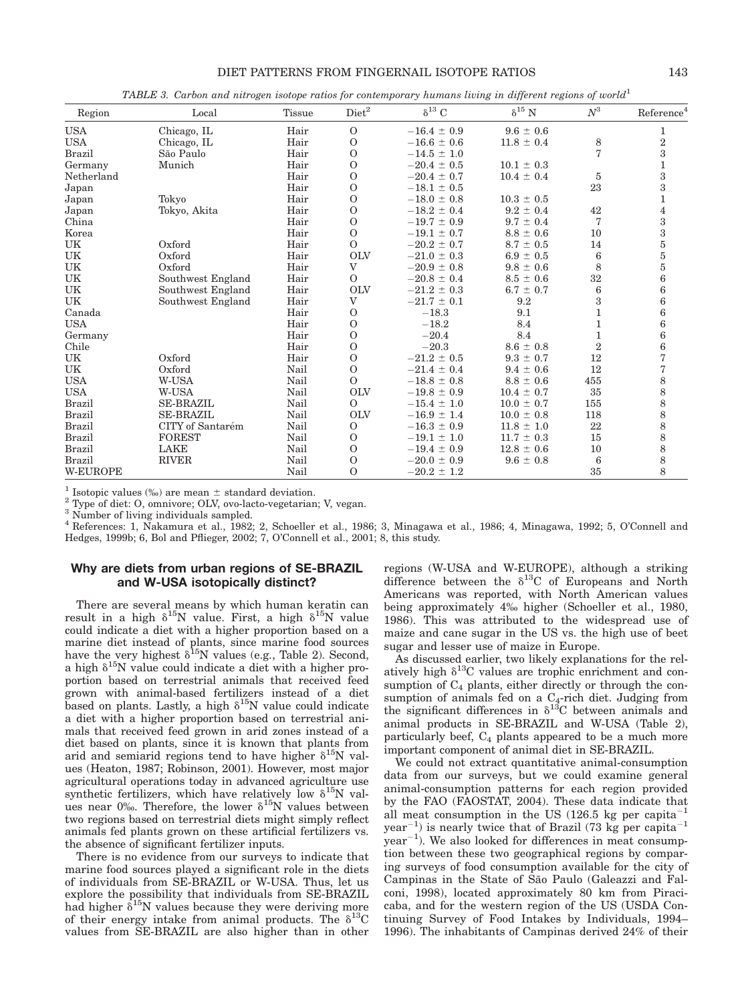TABLE 3. Carbon and nitrogen isotope ratios for contemporary humans living in different regions of world<sup>1</sup>

| Region                          | Local             | <b>Tissue</b> | $\mathrm{Diet}^2$         | $\delta^{13}$ C | $\delta^{15}$ N | $\mathbb{N}^3$  | Reference <sup>4</sup>  |
|---------------------------------|-------------------|---------------|---------------------------|-----------------|-----------------|-----------------|-------------------------|
| <b>USA</b>                      | Chicago, IL       | Hair          | $\mathcal{O}$             | $-16.4 \pm 0.9$ | $9.6 \pm 0.6$   |                 | 1                       |
| <b>USA</b>                      | Chicago, IL       | Hair          | $\mathcal{O}$             | $-16.6 \pm 0.6$ | $11.8 \pm 0.4$  | 8               | $\overline{2}$          |
| <b>Brazil</b>                   | São Paulo         | Hair          | $\mathcal{O}$             | $-14.5 \pm 1.0$ |                 | 7               | 3                       |
| Germany                         | Munich            | Hair          | $\Omega$                  | $-20.4 \pm 0.5$ | $10.1 \pm 0.3$  |                 | $\mathbf{1}$            |
| Netherland                      |                   | Hair          | $\Omega$                  | $-20.4 \pm 0.7$ | $10.4 \pm 0.4$  | $\overline{5}$  | 3                       |
| Japan                           |                   | Hair          | $\Omega$                  | $-18.1 \pm 0.5$ |                 | 23              | 3                       |
| Japan                           | Tokyo             | Hair          | $\mathcal{O}$             | $-18.0 \pm 0.8$ | $10.3 \pm 0.5$  |                 | $\mathbf{1}$            |
| Japan                           | Tokyo, Akita      | Hair          | $\mathcal{O}$             | $-18.2 \pm 0.4$ | $9.2 \pm 0.4$   | 42              | $\overline{\mathbf{4}}$ |
| China                           |                   | Hair          | $\mathcal{O}$             | $-19.7 \pm 0.9$ | $9.7 \pm 0.4$   | 7               | 3                       |
| Korea                           |                   | Hair          | $\Omega$                  | $-19.1 \pm 0.7$ | $8.8 \pm 0.6$   | 10              | 3                       |
| UK                              | Oxford            | Hair          | $\Omega$                  | $-20.2 \pm 0.7$ | $8.7 \pm 0.5$   | 14              | $\frac{5}{5}$           |
| UK                              | Oxford            | Hair          | <b>OLV</b>                | $-21.0 \pm 0.3$ | $6.9 \pm 0.5$   | $6\phantom{1}6$ |                         |
| $\ensuremath{\text{UK}}\xspace$ | Oxford            | Hair          | $\boldsymbol{\mathrm{V}}$ | $-20.9 \pm 0.8$ | $9.8 \pm 0.6$   | 8               | $\overline{5}$          |
| UK                              | Southwest England | Hair          | $\Omega$                  | $-20.8 \pm 0.4$ | $8.5 \pm 0.6$   | 32              | 6                       |
| UK                              | Southwest England | Hair          | <b>OLV</b>                | $-21.2 \pm 0.3$ | $6.7 \pm 0.7$   | $6\phantom{1}6$ | 6                       |
| <b>UK</b>                       | Southwest England | Hair          | $\boldsymbol{\mathrm{V}}$ | $-21.7 \pm 0.1$ | 9.2             | 3               | $\frac{6}{6}$           |
| Canada                          |                   | Hair          | $\mathbf{O}$              | $-18.3$         | 9.1             | $\mathbf{1}$    |                         |
| <b>USA</b>                      |                   | Hair          | $\mathcal{O}$             | $-18.2$         | 8.4             | $\mathbf{1}$    | $\overline{6}$          |
| Germany                         |                   | Hair          | $\Omega$                  | $-20.4$         | 8.4             | $\mathbf{1}$    | $\overline{6}$          |
| Chile                           |                   | Hair          | $\Omega$                  | $-20.3$         | $8.6 \pm 0.8$   | $\,2\,$         | $\frac{6}{7}$           |
| UK                              | Oxford            | Hair          | $\Omega$                  | $-21.2 \pm 0.5$ | $9.3 \pm 0.7$   | 12              |                         |
| UK                              | Oxford            | Nail          | $\mathcal{O}$             | $-21.4 \pm 0.4$ | $9.4 \pm 0.6$   | 12              | 7                       |
| <b>USA</b>                      | W-USA             | Nail          | $\mathbf{O}$              | $-18.8 \pm 0.8$ | $8.8 \pm 0.6$   | 455             | 8                       |
| <b>USA</b>                      | W-USA             | Nail          | <b>OLV</b>                | $-19.8 \pm 0.9$ | $10.4 \pm 0.7$  | 35              | 8                       |
| <b>Brazil</b>                   | <b>SE-BRAZIL</b>  | Nail          | $\Omega$                  | $-15.4 \pm 1.0$ | $10.0 \pm 0.7$  | 155             | $\frac{8}{8}$           |
| <b>Brazil</b>                   | <b>SE-BRAZIL</b>  | Nail          | $\mbox{OLV}$              | $-16.9 \pm 1.4$ | $10.0 \pm 0.8$  | 118             |                         |
| <b>Brazil</b>                   | CITY of Santarém  | Nail          | $\mathbf{O}$              | $-16.3 \pm 0.9$ | $11.8 \pm 1.0$  | 22              | 8                       |
| <b>Brazil</b>                   | <b>FOREST</b>     | Nail          | $\Omega$                  | $-19.1 \pm 1.0$ | $11.7 \pm 0.3$  | 15              | 8                       |
| <b>Brazil</b>                   | LAKE              | Nail          | $\Omega$                  | $-19.4 \pm 0.9$ | $12.8 \pm 0.6$  | 10              | 8                       |
| <b>Brazil</b>                   | <b>RIVER</b>      | Nail          | $\mathcal{O}$             | $-20.0 \pm 0.9$ | $9.6 \pm 0.8$   | 6               | 8                       |
| <b>W-EUROPE</b>                 |                   | Nail          | $\mathcal{O}$             | $-20.2 \pm 1.2$ |                 | 35              | 8                       |

<sup>1</sup> Isotopic values (‰) are mean ± standard deviation.<br><sup>2</sup> Type of diet: O, omnivore; OLV, ovo-lacto-vegetarian; V, vegan.<br><sup>3</sup> Number of living individuals sampled.<br><sup>4</sup> References: 1, Nakamura et al., 1982; 2, Schoeller e Hedges, 1999b; 6, Bol and Pflieger, 2002; 7, O'Connell et al., 2001; 8, this study.

# Why are diets from urban regions of SE-BRAZIL and W-USA isotopically distinct?

There are several means by which human keratin can result in a high  $\delta^{15}N$  value. First, a high  $\delta^{15}N$  value could indicate a diet with a higher proportion based on a marine diet instead of plants, since marine food sources<br>have the very highest  $\delta^{15}N$  values (e.g., Table 2). Second, a high  $\delta^{15}N$  value could indicate a diet with a higher proportion based on terrestrial animals that received feed grown with animal-based fertilizers instead of a diet based on plants. Lastly, a high  $\delta^{15}N$  value could indicate a diet with a higher proportion based on terrestrial animals that received feed grown in arid zones instead of a diet based on plants, since it is known that plants from arid and semiarid regions tend to have higher  $\delta^{15}N$  values (Heaton, 1987; Robinson, 2001). However, most major agricultural operations today in advanced agriculture use synthetic fertilizers, which have relatively low  $\delta^{15}N$  values near  $0\%$ . Therefore, the lower  $\delta^{15}N$  values between two regions based on terrestrial diets might simply reflect animals fed plants grown on these artificial fertilizers vs. the absence of significant fertilizer inputs.

There is no evidence from our surveys to indicate that marine food sources played a significant role in the diets of individuals from SE-BRAZIL or W-USA. Thus, let us explore the possibility that individuals from SE-BRAZIL had higher  $\delta^{15}N$  values because they were deriving more of their energy intake from animal products. The  $\delta^{13}C$ values from SE-BRAZIL are also higher than in other

regions (W-USA and W-EUROPE), although a striking difference between the  $\delta^{13}C$  of Europeans and North Americans was reported, with North American values being approximately 4% higher (Schoeller et al., 1980, 1986). This was attributed to the widespread use of maize and cane sugar in the US vs. the high use of beet sugar and lesser use of maize in Europe.

As discussed earlier, two likely explanations for the relatively high  $\delta^{13}C$  values are trophic enrichment and consumption of  $C_4$  plants, either directly or through the consumption of animals fed on a  $C_4$ -rich diet. Judging from the significant differences in  $\delta^{13}$ C between animals and animal products in SE-BRAZIL and W-USA (Table 2), particularly beef,  $C_4$  plants appeared to be a much more important component of animal diet in SE-BRAZIL.

We could not extract quantitative animal-consumption data from our surveys, but we could examine general animal-consumption patterns for each region provided by the FAO (FAOSTAT, 2004). These data indicate that all meat consumption in the US  $(126.5 \text{ kg per capita}^{-1})$ year<sup>-1</sup>) is nearly twice that of Brazil (73 kg per capita<sup>-1</sup>)  $year^{-1}$ ). We also looked for differences in meat consumption between these two geographical regions by comparing surveys of food consumption available for the city of Campinas in the State of São Paulo (Galeazzi and Falconi, 1998), located approximately 80 km from Piracicaba, and for the western region of the US (USDA Continuing Survey of Food Intakes by Individuals, 1994– 1996). The inhabitants of Campinas derived 24% of their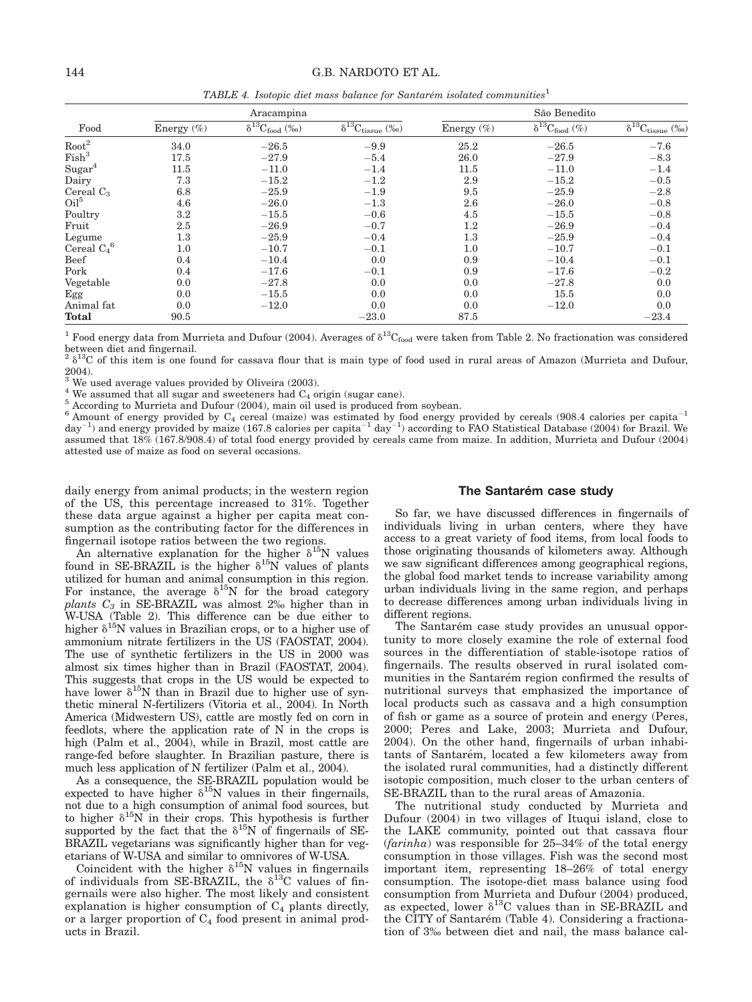|                    | Aracampina    |                                                      |                                             | São Benedito  |                                                 |                                                   |
|--------------------|---------------|------------------------------------------------------|---------------------------------------------|---------------|-------------------------------------------------|---------------------------------------------------|
| Food               | Energy $(\%)$ | $\overline{\delta^{13}\text{C}_{\text{food}}}\ (\%)$ | $\overline{\delta^{13}\rm{C}_{tissue}}$ (%) | Energy $(\%)$ | $\overline{\delta^{13}\mathrm{C_{food}}}\ (\%)$ | $\overline{\delta^{13}\text{C}_{\rm tissue}}$ (%) |
| $\mathrm{Root}^2$  | 34.0          | $-26.5$                                              | $-9.9$                                      | 25.2          | $-26.5$                                         | $-7.6$                                            |
| Fish <sup>3</sup>  | 17.5          | $-27.9$                                              | $-5.4$                                      | 26.0          | $-27.9$                                         | $-8.3$                                            |
| Sugar <sup>4</sup> | 11.5          | $-11.0$                                              | $-1.4$                                      | 11.5          | $-11.0$                                         | $-1.4$                                            |
| Dairy              | 7.3           | $-15.2$                                              | $-1.2$                                      | 2.9           | $-15.2$                                         | $-0.5$                                            |
| Cereal $C_3$       | 6.8           | $-25.9$                                              | $-1.9$                                      | 9.5           | $-25.9$                                         | $-2.8$                                            |
| Oil <sup>5</sup>   | 4.6           | $-26.0$                                              | $-1.3$                                      | 2.6           | $-26.0$                                         | $-0.8$                                            |
| Poultry            | 3.2           | $-15.5$                                              | $-0.6$                                      | 4.5           | $-15.5$                                         | $-0.8$                                            |
| Fruit              | 2.5           | $-26.9$                                              | $-0.7$                                      | 1.2           | $-26.9$                                         | $-0.4$                                            |
| Legume             | 1.3           | $-25.9$                                              | $-0.4$                                      | 1.3           | $-25.9$                                         | $-0.4$                                            |
| Cereal $C_4{}^6$   | 1.0           | $-10.7$                                              | $-0.1$                                      | 1.0           | $-10.7$                                         | $-0.1$                                            |
| Beef               | 0.4           | $-10.4$                                              | 0.0                                         | 0.9           | $-10.4$                                         | $-0.1$                                            |
| Pork               | 0.4           | $-17.6$                                              | $-0.1$                                      | 0.9           | $-17.6$                                         | $-0.2$                                            |
| Vegetable          | 0.0           | $-27.8$                                              | 0.0                                         | 0.0           | $-27.8$                                         | 0.0                                               |
| Egg                | 0.0           | $-15.5$                                              | 0.0                                         | 0.0           | 15.5                                            | 0.0                                               |
| Animal fat         | 0.0           | $-12.0$                                              | 0.0                                         | 0.0           | $-12.0$                                         | 0.0                                               |
| <b>Total</b>       | 90.5          |                                                      | $-23.0$                                     | 87.5          |                                                 | $-23.4$                                           |

TABLE 4. Isotopic diet mass balance for Santarém isolated communities<sup>1</sup>

<sup>1</sup> Food energy data from Murrieta and Dufour (2004). Averages of  $\delta^{13}C_{\text{food}}$  were taken from Table 2. No fractionation was considered

between diet and fingernail.<br><sup>2</sup> 8<sup>13</sup>C of this item is one found for cassava flour that is main type of food used in rural areas of Amazon (Murrieta and Dufour,  $2004$ ).<br><sup>3</sup> We used average values provided by Oliveira (2003).

<sup>4</sup> We assumed that all sugar and sweeteners had  $C_4$  origin (sugar cane).<br><sup>5</sup> According to Murrieta and Dufour (2004), main oil used is produced from soybean.<br><sup>6</sup> Amount of energy provided by  $C_4$  cereal (maize) was es  $day^{-1}$  and energy provided by maize (167.8 calories per capita<sup>-1</sup> day<sup>-1</sup>) according to FAO Statistical Database (2004) for Brazil. We assumed that 18% (167.8/908.4) of total food energy provided by cereals came from maize. In addition, Murrieta and Dufour (2004) attested use of maize as food on several occasions.

daily energy from animal products; in the western region of the US, this percentage increased to 31%. Together these data argue against a higher per capita meat consumption as the contributing factor for the differences in fingernail isotope ratios between the two regions.

An alternative explanation for the higher  $\delta^{15}N$  values found in SE-BRAZIL is the higher  $\delta^{15}N$  values of plants utilized for human and animal consumption in this region.<br>For instance, the average  $\delta^{15}N$  for the broad category plants  $C_3$  in SE-BRAZIL was almost  $2\%$  higher than in W-USA (Table 2). This difference can be due either to higher  $\delta^{15}N$  values in Brazilian crops, or to a higher use of ammonium nitrate fertilizers in the US (FAOSTAT, 2004). The use of synthetic fertilizers in the US in 2000 was almost six times higher than in Brazil (FAOSTAT, 2004). This suggests that crops in the US would be expected to have lower  $\delta^{15}N$  than in Brazil due to higher use of synthetic mineral N-fertilizers (Vitoria et al., 2004). In North America (Midwestern US), cattle are mostly fed on corn in feedlots, where the application rate of N in the crops is high (Palm et al., 2004), while in Brazil, most cattle are range-fed before slaughter. In Brazilian pasture, there is much less application of N fertilizer (Palm et al., 2004).

As a consequence, the SE-BRAZIL population would be expected to have higher  $\delta^{15}N$  values in their fingernails, not due to a high consumption of animal food sources, but to higher  $\delta^{15}N$  in their crops. This hypothesis is further supported by the fact that the  $\delta^{15}N$  of fingernails of SE-BRAZIL vegetarians was significantly higher than for veg-

etarians of W-USA and similar to omnivores of W-USA.<br>Coincident with the higher  $\delta^{15}N$  values in fingernails of individuals from SE-BRAZIL, the  $\delta^{13}$ C values of fingernails were also higher. The most likely and consistent explanation is higher consumption of  $C_4$  plants directly, or a larger proportion of  $C_4$  food present in animal products in Brazil.

#### The Santarém case study

So far, we have discussed differences in fingernails of individuals living in urban centers, where they have access to a great variety of food items, from local foods to those originating thousands of kilometers away. Although we saw significant differences among geographical regions, the global food market tends to increase variability among urban individuals living in the same region, and perhaps to decrease differences among urban individuals living in different regions.

The Santarém case study provides an unusual opportunity to more closely examine the role of external food sources in the differentiation of stable-isotope ratios of fingernails. The results observed in rural isolated communities in the Santarém region confirmed the results of nutritional surveys that emphasized the importance of local products such as cassava and a high consumption of fish or game as a source of protein and energy (Peres, 2000; Peres and Lake, 2003; Murrieta and Dufour, 2004). On the other hand, fingernails of urban inhabitants of Santarém, located a few kilometers away from the isolated rural communities, had a distinctly different isotopic composition, much closer to the urban centers of SE-BRAZIL than to the rural areas of Amazonia.

The nutritional study conducted by Murrieta and Dufour (2004) in two villages of Ituqui island, close to the LAKE community, pointed out that cassava flour  $(farihba)$  was responsible for 25–34% of the total energy consumption in those villages. Fish was the second most important item, representing 18–26% of total energy consumption. The isotope-diet mass balance using food consumption from Murrieta and Dufour (2004) produced, as expected, lower  $\delta^{13}$ C values than in SE-BRAZIL and the CITY of Santarém (Table 4). Considering a fractionation of 3‰ between diet and nail, the mass balance cal-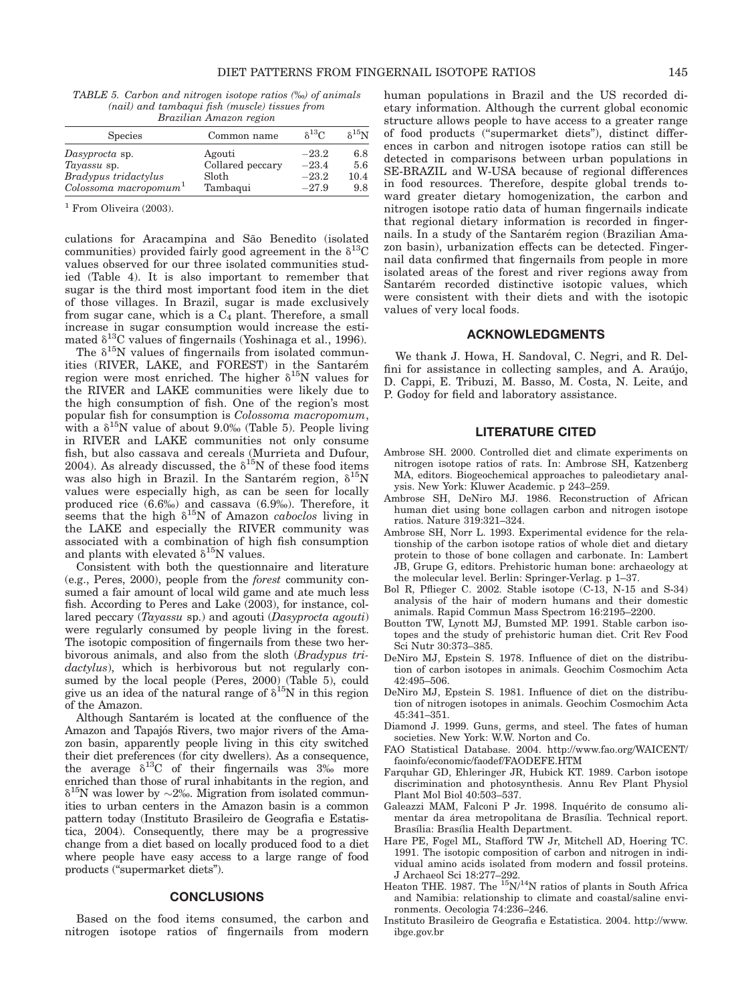| <b>TABLE</b> 5. Carbon and nitrogen isotope ratios $\binom{\%}{0}$ of animals |
|-------------------------------------------------------------------------------|
| (nail) and tambagui fish (muscle) tissues from                                |
| Brazilian Amazon region                                                       |

| <b>Species</b>                                                                              | Common name                                     | $\delta^{13}C$                           | $\delta^{15}$ N           |
|---------------------------------------------------------------------------------------------|-------------------------------------------------|------------------------------------------|---------------------------|
| Dasyprocta sp.<br>Tayassu sp.<br>Bradypus tridactylus<br>$\mathcal{C}olossoma\ macropomum1$ | Agouti<br>Collared peccary<br>Sloth<br>Tambaqui | $-23.2$<br>$-23.4$<br>$-23.2$<br>$-27.9$ | 6.8<br>5.6<br>10.4<br>9.8 |

 $^{\rm 1}$  From Oliveira (2003).

culations for Aracampina and São Benedito (isolated communities) provided fairly good agreement in the  $\delta^{13}C$ values observed for our three isolated communities studied (Table 4). It is also important to remember that sugar is the third most important food item in the diet of those villages. In Brazil, sugar is made exclusively from sugar cane, which is a  $C_4$  plant. Therefore, a small increase in sugar consumption would increase the estimated  $\delta^{13}$ C values of fingernails (Yoshinaga et al., 1996).

The  $\delta^{15}$ N values of fingernails from isolated communities (RIVER, LAKE, and FOREST) in the Santarém region were most enriched. The higher  $\delta^{15}N$  values for the RIVER and LAKE communities were likely due to the high consumption of fish. One of the region's most popular fish for consumption is Colossoma macropomum, with a  $\delta^{15}N$  value of about 9.0% (Table 5). People living in RIVER and LAKE communities not only consume fish, but also cassava and cereals (Murrieta and Dufour, 2004). As already discussed, the  $\delta^{15}N$  of these food items was also high in Brazil. In the Santarém region,  $\delta^{15}N$ values were especially high, as can be seen for locally produced rice (6.6%) and cassava (6.9%). Therefore, it seems that the high  $\delta^{15}N$  of Amazon *caboclos* living in the LAKE and especially the RIVER community was associated with a combination of high fish consumption and plants with elevated  $\delta^{15}N$  values.

Consistent with both the questionnaire and literature (e.g., Peres, 2000), people from the forest community consumed a fair amount of local wild game and ate much less fish. According to Peres and Lake (2003), for instance, collared peccary (Tayassu sp.) and agouti (Dasyprocta agouti) were regularly consumed by people living in the forest. The isotopic composition of fingernails from these two herbivorous animals, and also from the sloth (Bradypus tridactylus), which is herbivorous but not regularly consumed by the local people (Peres, 2000) (Table 5), could give us an idea of the natural range of  $\delta^{15}N$  in this region of the Amazon.

Although Santarém is located at the confluence of the Amazon and Tapajós Rivers, two major rivers of the Amazon basin, apparently people living in this city switched their diet preferences (for city dwellers). As a consequence, the average  $\delta^{13}$ C of their fingernails was 3% more enriched than those of rural inhabitants in the region, and  $\delta^{15}$ N was lower by  $\sim$ 2‰. Migration from isolated communities to urban centers in the Amazon basin is a common pattern today (Instituto Brasileiro de Geografia e Estatistica, 2004). Consequently, there may be a progressive change from a diet based on locally produced food to a diet where people have easy access to a large range of food products (''supermarket diets'').

### **CONCLUSIONS**

Based on the food items consumed, the carbon and nitrogen isotope ratios of fingernails from modern human populations in Brazil and the US recorded dietary information. Although the current global economic structure allows people to have access to a greater range of food products (''supermarket diets''), distinct differences in carbon and nitrogen isotope ratios can still be detected in comparisons between urban populations in SE-BRAZIL and W-USA because of regional differences in food resources. Therefore, despite global trends toward greater dietary homogenization, the carbon and nitrogen isotope ratio data of human fingernails indicate that regional dietary information is recorded in fingernails. In a study of the Santarém region (Brazilian Amazon basin), urbanization effects can be detected. Fingernail data confirmed that fingernails from people in more isolated areas of the forest and river regions away from Santarém recorded distinctive isotopic values, which were consistent with their diets and with the isotopic values of very local foods.

## ACKNOWLEDGMENTS

We thank J. Howa, H. Sandoval, C. Negri, and R. Delfini for assistance in collecting samples, and A. Araújo, D. Cappi, E. Tribuzi, M. Basso, M. Costa, N. Leite, and P. Godoy for field and laboratory assistance.

## LITERATURE CITED

- Ambrose SH. 2000. Controlled diet and climate experiments on nitrogen isotope ratios of rats. In: Ambrose SH, Katzenberg MA, editors. Biogeochemical approaches to paleodietary analysis. New York: Kluwer Academic. p 243–259.
- Ambrose SH, DeNiro MJ. 1986. Reconstruction of African human diet using bone collagen carbon and nitrogen isotope ratios. Nature 319:321–324.
- Ambrose SH, Norr L. 1993. Experimental evidence for the relationship of the carbon isotope ratios of whole diet and dietary protein to those of bone collagen and carbonate. In: Lambert JB, Grupe G, editors. Prehistoric human bone: archaeology at the molecular level. Berlin: Springer-Verlag. p 1–37.
- Bol R, Pflieger C. 2002. Stable isotope (C-13, N-15 and S-34) analysis of the hair of modern humans and their domestic animals. Rapid Commun Mass Spectrom 16:2195–2200.
- Boutton TW, Lynott MJ, Bumsted MP. 1991. Stable carbon isotopes and the study of prehistoric human diet. Crit Rev Food Sci Nutr 30:373–385.
- DeNiro MJ, Epstein S. 1978. Influence of diet on the distribution of carbon isotopes in animals. Geochim Cosmochim Acta 42:495–506.
- DeNiro MJ, Epstein S. 1981. Influence of diet on the distribution of nitrogen isotopes in animals. Geochim Cosmochim Acta 45:341–351.
- Diamond J. 1999. Guns, germs, and steel. The fates of human societies. New York: W.W. Norton and Co.
- FAO Statistical Database. 2004. http://www.fao.org/WAICENT/ faoinfo/economic/faodef/FAODEFE.HTM
- Farquhar GD, Ehleringer JR, Hubick KT. 1989. Carbon isotope discrimination and photosynthesis. Annu Rev Plant Physiol Plant Mol Biol 40:503–537.
- Galeazzi MAM, Falconi P Jr. 1998. Inquérito de consumo alimentar da área metropolitana de Brasília. Technical report. Brasília: Brasília Health Department.
- Hare PE, Fogel ML, Stafford TW Jr, Mitchell AD, Hoering TC. 1991. The isotopic composition of carbon and nitrogen in individual amino acids isolated from modern and fossil proteins. J Archaeol Sci 18:277–292.
- Heaton THE. 1987. The  $^{15}$ N/<sup>14</sup>N ratios of plants in South Africa and Namibia: relationship to climate and coastal/saline environments. Oecologia 74:236–246.
- Instituto Brasileiro de Geografia e Estatistica. 2004. http://www. ibge.gov.br